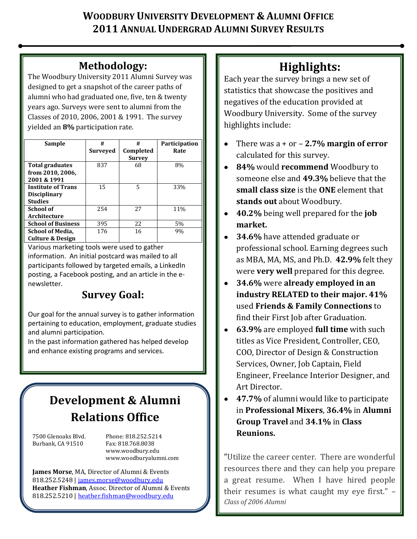# **WOODBURY UNIVERSITY DEVELOPMENT & ALUMNI OFFICE 2011 ANNUAL UNDERGRAD ALUMNI SURVEY RESULTS**

# **Methodology:**

The Woodbury University 2011 Alumni Survey was designed to get a snapshot of the career paths of alumni who had graduated one, five, ten & twenty years ago. Surveys were sent to alumni from the Classes of 2010, 2006, 2001 & 1991. The survey yielded an **8%** participation rate.

| <b>Sample</b>               | #               | #             | Participation |
|-----------------------------|-----------------|---------------|---------------|
|                             | <b>Surveyed</b> | Completed     | Rate          |
|                             |                 | <b>Survey</b> |               |
| <b>Total graduates</b>      | 837             | 68            | 8%            |
| from 2010, 2006,            |                 |               |               |
| 2001 & 1991                 |                 |               |               |
| <b>Institute of Trans</b>   | 15              | 5             | 33%           |
| <b>Disciplinary</b>         |                 |               |               |
| <b>Studies</b>              |                 |               |               |
| <b>School of</b>            | 254             | 27            | 11%           |
| Architecture                |                 |               |               |
| <b>School of Business</b>   | 395             | 22            | 5%            |
| <b>School of Media,</b>     | 176             | 16            | 9%            |
| <b>Culture &amp; Design</b> |                 |               |               |

Various marketing tools were used to gather information. An initial postcard was mailed to all participants followed by targeted emails, a LinkedIn posting, a Facebook posting, and an article in the enewsletter.

# **Survey Goal:**

Our goal for the annual survey is to gather information pertaining to education, employment, graduate studies and alumni participation.

In the past information gathered has helped develop and enhance existing programs and services.

# **Development & Alumni Relations Office**

Burbank, CA 91510 Fax: 818.768.8038

7500 Glenoaks Blvd. Phone: 818.252.5214 www.woodbury.edu www.woodburyalumni.com

**James Morse**, MA, Director of Alumni & Events 818.252.5248 [| james.morse@woodbury.edu](mailto:james.morse@woodbury.edu) **Heather Fishman**, Assoc. Director of Alumni & Events 818.252.5210 [| heather.fishman@woodbury.edu](mailto:heather.fishman@woodbury.edu)

# **Highlights:**

Each year the survey brings a new set of statistics that showcase the positives and negatives of the education provided at Woodbury University. Some of the survey highlights include:

- There was a + or **2.7% margin of error** calculated for this survey.
- **84%** would **recommend** Woodbury to someone else and **49.3%** believe that the **small class size** is the **ONE** element that **stands out** about Woodbury.
- **40.2%** being well prepared for the **job market.**
- **34.6%** have attended graduate or professional school. Earning degrees such as MBA, MA, MS, and Ph.D. **42.9%** felt they were **very well** prepared for this degree.
- **34.6%** were **already employed in an**   $\bullet$ **industry RELATED to their major. 41%** used **Friends & Family Connections** to find their First Job after Graduation.
- **63.9%** are employed **full time** with such titles as Vice President, Controller, CEO, COO, Director of Design & Construction Services, Owner, Job Captain, Field Engineer, Freelance Interior Designer, and Art Director.
- $\bullet$ **47.7%** of alumni would like to participate in **Professional Mixers**, **36.4%** in **Alumni Group Travel** and **34.1%** in **Class Reunions.**

"Utilize the career center. There are wonderful resources there and they can help you prepare a great resume. When I have hired people their resumes is what caught my eye first." – *Class of 2006 Alumni*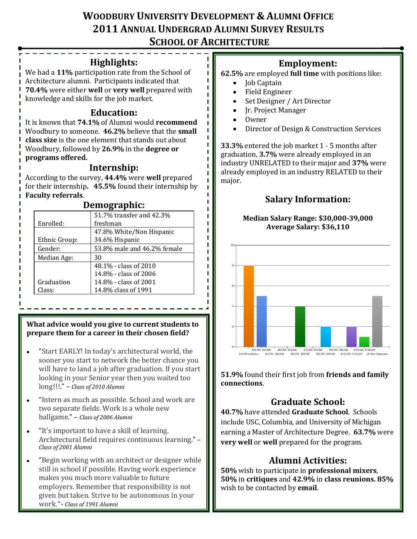# **WOODBURY UNIVERSITY DEVELOPMENT & ALUMNI OFFICE 2011 ANNUAL UNDERGRAD ALUMNI SURVEY RESULTS SCHOOL OF ARCHITECTURE**

### **Highlights:**

We had a **11%** participation rate from the School of Architecture alumni. Participants indicated that **70.4%** were either **well** or **very well** prepared with knowledge and skills for the job market.

## **Education:**

It is known that **74.1%** of Alumni would **recommend** Woodbury to someone. **46.2%** believe that the **small class size** is the one element that stands out about Woodbury, followed by **26.9%** in the **degree or programs offered.**

### **Internship:**

According to the survey, **44.4%** were **well** prepared for their internship**. 45.5%** found their internship by **Faculty referrals**.

| Demographic:  |                             |  |
|---------------|-----------------------------|--|
|               | 51.7% transfer and 42.3%    |  |
| Enrolled:     | freshman                    |  |
|               | 47.8% White/Non Hispanic    |  |
| Ethnic Group: | 34.6% Hispanic              |  |
| Gender:       | 53.8% male and 46.2% female |  |
| Median Age:   | 30                          |  |
|               | 48.1% - class of 2010       |  |
|               | 14.8% - class of 2006       |  |
| Graduation    | 14.8% - class of 2001       |  |
| Class:        | 14.8% class of 1991         |  |

### **Demographic:**

#### **What advice would you give to current students to prepare them for a career in their chosen field?**

- "Start EARLY! In today's architectural world, the sooner you start to network the better chance you will have to land a job after graduation. If you start looking in your Senior year then you waited too long!!!." – *Class of 2010 Alumni*
- "Intern as much as possible. School and work are  $\bullet$ two separate fields. Work is a whole new ballgame." – *Class of 2006 Alumni*
- "It's important to have a skill of learning. Architectural field requires continuous learning." – *Class of 2001 Alumni*
- "Begin working with an architect or designer while still in school if possible. Having work experience makes you much more valuable to future employers. Remember that responsibility is not given but taken. Strive to be autonomous in your work."- *Class of 1991 Alumni*

## **Employment:**

- **62.5%** are employed **full time** with positions like:
	- Job Captain
	- $\bullet$ Field Engineer
	- Set Designer / Art Director
	- Jr. Project Manager
	- Owner
	- Director of Design & Construction Services

**33.3%** entered the job market 1 - 5 months after graduation, **3.7%** were already employed in an industry UNRELATED to their major and **37%** were already employed in an industry RELATED to their major.

## **Salary Information:**

#### **Median Salary Range: \$30,000-39,000 Average Salary: \$36,110**



**51.9%** found their first job from **friends and family connections**.

# **Graduate School:**

**40.7%** have attended **Graduate School**. Schools include USC, Columbia, and University of Michigan earning a Master of Architecture Degree. **63.7%** were **very well** or **well** prepared for the program.

# **Alumni Activities:**

**50%** wish to participate in **professional mixers**, **50%** in **critiques** and **42.9%** in **class reunions. 85%** wish to be contacted by **email**.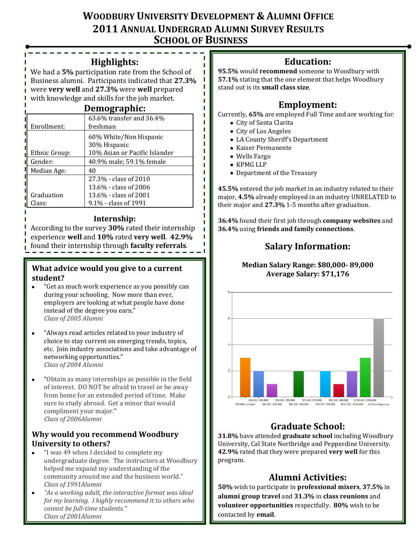## **WOODBURY UNIVERSITY DEVELOPMENT & ALUMNI OFFICE 2011 ANNUAL UNDERGRAD ALUMNI SURVEY RESULTS SCHOOL OF BUSINESS**

#### **Highlights:**

We had a **5%** participation rate from the School of Business alumni. Participants indicated that **27.3%** were **very well** and **27.3%** were **well** prepared with knowledge and skills for the job market.

#### **Demographic:**

| Enrollment:   | 63.6% transfer and 36.4%<br>freshman   |
|---------------|----------------------------------------|
|               | 60% White/Non Hispanic<br>30% Hispanic |
| Ethnic Group: | 10% Asian or Pacific Islander          |
| Gender:       | 40.9% male; 59.1% female               |
| Median Age:   | 40                                     |
|               | 27.3% - class of 2010                  |
|               | 13.6% - class of 2006                  |
| Graduation    | 13.6% - class of 2001                  |
| Class:        | 9.1% - class of 1991                   |

#### **Internship:**

According to the survey **30%** rated their internship experience **well** and **10%** rated **very well**. **42.9%** found their internship through **faculty referrals**.

#### **What advice would you give to a current student?**

- "Get as much work experience as you possibly can during your schooling. Now more than ever, employers are looking at what people have done instead of the degree you earn." *Class of 2005 Alumni*
- "Always read articles related to your industry of choice to stay current on emerging trends, topics, etc. Join industry associations and take advantage of networking opportunities." *Class of 2004 Alumni*
- "Obtain as many internships as possible in the field of interest. DO NOT be afraid to travel or be away from home for an extended period of time. Make sure to study abroad. Get a minor that would compliment your major." *Class of 2006Alumni*

### **Why would you recommend Woodbury University to others?**

- "I was 49 when I decided to complete my undergraduate degree. The instructors at Woodbury helped me expand my understanding of the community around me and the business world." *Class of 1991Alumni*
- *"As a working adult, the interactive format was ideal for my learning. I highly recommend it to others who cannot be full-time students." Class of 2001Alumni*

## **Education:**

**95.5%** would **recommend** someone to Woodbury with **57.1%** stating that the one element that helps Woodbury stand out is its **small class size**.

## **Employment:**

Currently, **65%** are employed Full Time and are working for:

- City of Santa Clarita
- City of Los Angeles
- LA County Sheriff's Department
- Kaiser Permanente
- Wells Fargo
- KPMG LLP
- Department of the Treasury

**45.5%** entered the job market in an industry related to their major, **4.5%** already employed in an industry UNRELATED to their major and **27.3%** 1-5 months after graduation.

**36.4%** found their first job through **company websites** and **36.4%** using **friends and family connections**.

## **Salary Information:**

#### **Median Salary Range: \$80,000- 89,000 Average Salary: \$71,176**



## **Graduate School:**

**31.8%** have attended **graduate school** including Woodbury University, Cal State Northridge and Pepperdine University. **42.9%** rated that they were prepared **very well** for this program.

## **Alumni Activities:**

**50%** wish to participate in **professional mixers**, **37.5%** in **alumni group travel** and **31.3%** in **class reunions** and **volunteer opportunities** respectfully. **80%** wish to be contacted by **email**.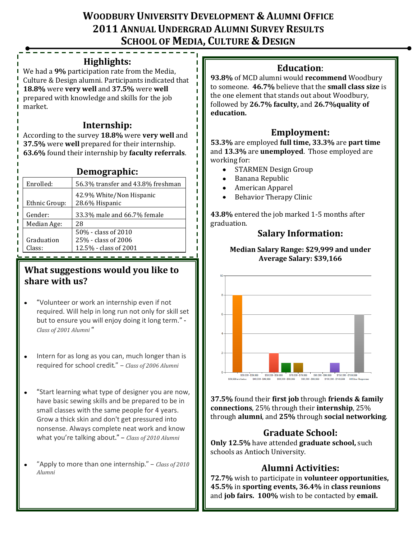# **WOODBURY UNIVERSITY DEVELOPMENT & ALUMNI OFFICE 2011 ANNUAL UNDERGRAD ALUMNI SURVEY RESULTS SCHOOL OF MEDIA, CULTURE & DESIGN**

п

П п п

## **Highlights:**

We had a **9%** participation rate from the Media, Culture & Design alumni. Participants indicated that **18.8%** were **very well** and **37.5%** were **well** prepared with knowledge and skills for the job market.

## **Internship:**

According to the survey **18.8%** were **very well** and **37.5%** were **well** prepared for their internship. **63.6%** found their internship by **faculty referrals**.

## **Demographic:**

| Enrolled:     | 56.3% transfer and 43.8% freshman          |
|---------------|--------------------------------------------|
| Ethnic Group: | 42.9% White/Non Hispanic<br>28.6% Hispanic |
| Gender:       | 33.3% male and 66.7% female                |
| Median Age:   | 28                                         |
|               | 50% - class of 2010                        |
| Graduation    | 25% - class of 2006                        |
| Class:        | 12.5% - class of 2001                      |

## **What suggestions would you like to share with us?**

- "Volunteer or work an internship even if not required. Will help in long run not only for skill set but to ensure you will enjoy doing it long term." - *Class of 2001 Alumni* "
- Intern for as long as you can, much longer than is  $\bullet$ required for school credit." – *Class of 2006 Alumni*
- "Start learning what type of designer you are now,  $\bullet$ have basic sewing skills and be prepared to be in small classes with the same people for 4 years. Grow a thick skin and don't get pressured into nonsense. Always complete neat work and know what you're talking about." – *Class of 2010 Alumni*
- "Apply to more than one internship." *Class of 2010 Alumni*

## **Education**:

**93.8%** of MCD alumni would **recommend** Woodbury to someone. **46.7%** believe that the **small class size** is the one element that stands out about Woodbury, followed by **26.7% faculty,** and **26.7%quality of education.** 

## **Employment:**

**53.3%** are employed **full time, 33.3%** are **part time** and **13.3%** are **unemployed**. Those employed are working for:

- STARMEN Design Group
- Banana Republic
- American Apparel
- Behavior Therapy Clinic

**43.8%** entered the job marked 1-5 months after graduation.

## **Salary Information:**

#### **Median Salary Range: \$29,999 and under Average Salary: \$39,166**



**37.5%** found their **first job** through **friends & family connections**, 25% through their **internship**, 25% through **alumni**, and **25%** through **social networking**.

# **Graduate School:**

**Only 12.5%** have attended **graduate school,** such schools as Antioch University.

## **Alumni Activities:**

**72.7%** wish to participate in **volunteer opportunities, 45.5%** in **sporting events, 36.4%** in **class reunions**  and **job fairs. 100%** wish to be contacted by **email.**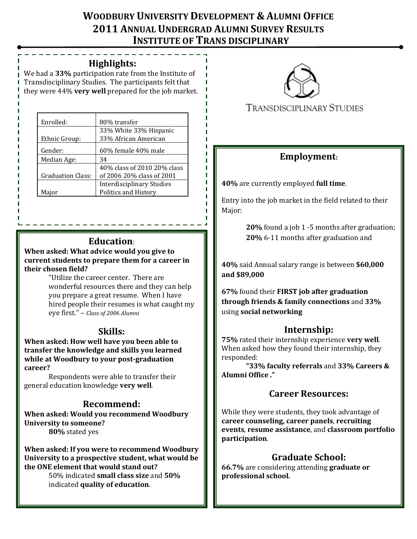# **WOODBURY UNIVERSITY DEVELOPMENT & ALUMNI OFFICE 2011 ANNUAL UNDERGRAD ALUMNI SURVEY RESULTS INSTITUTE OF TRANS DISCIPLINARY**

#### **Highlights: STUDIES**

We had a **33%** participation rate from the Institute of Transdisciplinary Studies. The participants felt that they were 44% **very well** prepared for the job market.

| Enrolled:                | 80% transfer                                   |
|--------------------------|------------------------------------------------|
| Ethnic Group:            | 33% White 33% Hispanic<br>33% African American |
| Gender:                  | 60% female 40% male                            |
| Median Age:              | 34                                             |
|                          | 40% class of 2010 20% class                    |
| <b>Graduation Class:</b> | of 2006 20% class of 2001                      |
|                          | <b>Interdisciplinary Studies</b>               |
| Major                    | <b>Politics and History</b>                    |

### **Education**:

**When asked: What advice would you give to current students to prepare them for a career in their chosen field?**

"Utilize the career center. There are wonderful resources there and they can help you prepare a great resume. When I have hired people their resumes is what caught my eye first." – *Class of 2006 Alumni*

### **Skills:**

**When asked: How well have you been able to transfer the knowledge and skills you learned while at Woodbury to your post-graduation career?**

Respondents were able to transfer their general education knowledge **very well**.

### **Recommend:**

**When asked: Would you recommend Woodbury University to someone? 80%** stated yes

**When asked: If you were to recommend Woodbury University to a prospective student, what would be the ONE element that would stand out?**

50% indicated **small class size** and **50%** indicated **quality of education**.



**TRANSDISCIPLINARY STUDIES** 

## **Employment:**

**40%** are currently employed **full time**.

Entry into the job market in the field related to their Major:

> **20%** found a job 1 -5 months after graduation; **20%** 6-11 months after graduation and

**40%** said Annual salary range is between **\$60,000 and \$89,000**

**67%** found their **FIRST job after graduation through friends & family connections** and **33%**  using **social networking**

### **Internship:**

**75%** rated their internship experience **very well**. When asked how they found their internship, they responded:

**"33% faculty referrals** and **33% Careers & Alumni Office ."**

## **Career Resources:**

While they were students, they took advantage of **career counseling, career panels**, **recruiting events**, **resume assistance**, and **classroom portfolio participation**.

## **Graduate School:**

**66.7%** are considering attending **graduate or professional school.**